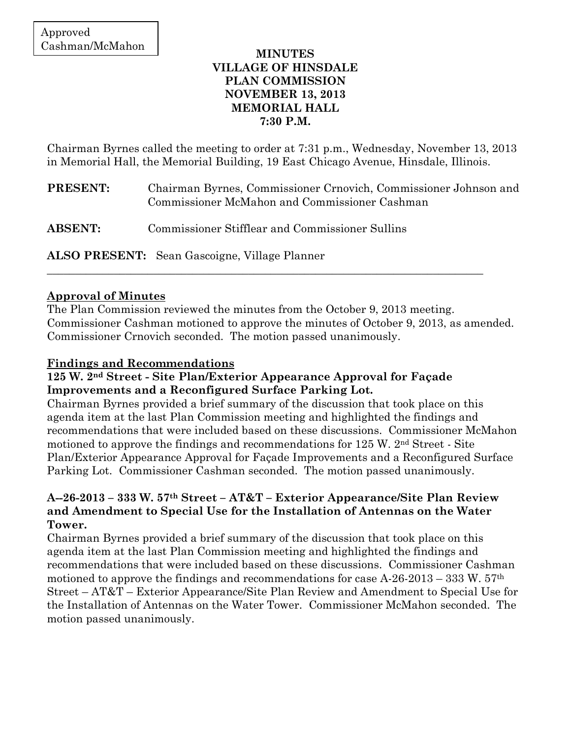#### **MINUTES VILLAGE OF HINSDALE PLAN COMMISSION NOVEMBER 13, 2013 MEMORIAL HALL 7:30 P.M.**

Chairman Byrnes called the meeting to order at 7:31 p.m., Wednesday, November 13, 2013 in Memorial Hall, the Memorial Building, 19 East Chicago Avenue, Hinsdale, Illinois.

| <b>PRESENT:</b> | Chairman Byrnes, Commissioner Crnovich, Commissioner Johnson and<br>Commissioner McMahon and Commissioner Cashman |
|-----------------|-------------------------------------------------------------------------------------------------------------------|
| <b>ABSENT:</b>  | Commissioner Stifflear and Commissioner Sullins                                                                   |

**ALSO PRESENT:** Sean Gascoigne, Village Planner \_\_\_\_\_\_\_\_\_\_\_\_\_\_\_\_\_\_\_\_\_\_\_\_\_\_\_\_\_\_\_\_\_\_\_\_\_\_\_\_\_\_\_\_\_\_\_\_\_\_\_\_\_\_\_\_\_\_\_\_\_\_\_\_\_\_\_\_\_\_\_\_\_\_\_\_\_\_

## **Approval of Minutes**

The Plan Commission reviewed the minutes from the October 9, 2013 meeting. Commissioner Cashman motioned to approve the minutes of October 9, 2013, as amended. Commissioner Crnovich seconded. The motion passed unanimously.

# **Findings and Recommendations**

### **125 W. 2nd Street - Site Plan/Exterior Appearance Approval for Façade Improvements and a Reconfigured Surface Parking Lot.**

Chairman Byrnes provided a brief summary of the discussion that took place on this agenda item at the last Plan Commission meeting and highlighted the findings and recommendations that were included based on these discussions. Commissioner McMahon motioned to approve the findings and recommendations for 125 W. 2nd Street - Site Plan/Exterior Appearance Approval for Façade Improvements and a Reconfigured Surface Parking Lot. Commissioner Cashman seconded. The motion passed unanimously.

### **A--26-2013 – 333 W. 57th Street – AT&T – Exterior Appearance/Site Plan Review and Amendment to Special Use for the Installation of Antennas on the Water Tower.**

Chairman Byrnes provided a brief summary of the discussion that took place on this agenda item at the last Plan Commission meeting and highlighted the findings and recommendations that were included based on these discussions. Commissioner Cashman motioned to approve the findings and recommendations for case  $A-26-2013-333$  W.  $57<sup>th</sup>$ Street – AT&T – Exterior Appearance/Site Plan Review and Amendment to Special Use for the Installation of Antennas on the Water Tower.Commissioner McMahon seconded. The motion passed unanimously.